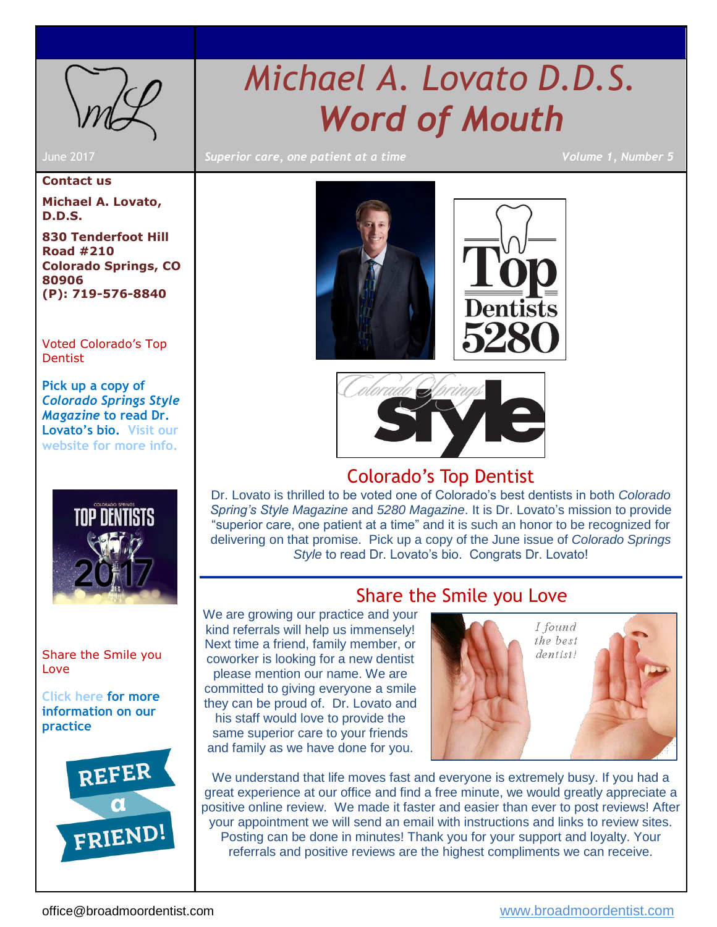# *Michael A. Lovato D.D.S. Word of Mouth*

June 2017 *Superior care, one patient at a time Volume 1, Number 5*

### **Contact us**

**Michael A. Lovato, D.D.S.**

**830 Tenderfoot Hill Road #210 Colorado Springs, CO 80906 (P): 719-576-8840**

#### [Voted Colorado's Top](#page-0-0)  **[Dentist](#page-0-0)**

**Pick up a copy of** *Colorado Springs Style Magazine* **to read Dr. Lovato's bio. [Visit our](http://www.broadmoordentist.com/office-newsletter/)  website [for more info.](http://www.broadmoordentist.com/office-newsletter/)** 



#### [Share the Smile you](#page-0-1)  [Love](#page-0-1)

### **[Click here](http://www.broadmoordentist.com/) for more information on our practice**







### Colorado's Top Dentist

<span id="page-0-0"></span>Dr. Lovato is thrilled to be voted one of Colorado's best dentists in both *Colorado Spring's Style Magazine* and *5280 Magazine*. It is Dr. Lovato's mission to provide "superior care, one patient at a time" and it is such an honor to be recognized for delivering on that promise. Pick up a copy of the June issue of *Colorado Springs Style* to read Dr. Lovato's bio. Congrats Dr. Lovato!

### Share the Smile you Love

<span id="page-0-1"></span>We are growing our practice and your kind referrals will help us immensely! Next time a friend, family member, or coworker is looking for a new dentist please mention our name. We are committed to giving everyone a smile they can be proud of. Dr. Lovato and his staff would love to provide the same superior care to your friends and family as we have done for you.



We understand that life moves fast and everyone is extremely busy. If you had a great experience at our office and find a free minute, we would greatly appreciate a positive online review. We made it faster and easier than ever to post reviews! After your appointment we will send an email with instructions and links to review sites. Posting can be done in minutes! Thank you for your support and loyalty. Your referrals and positive reviews are the highest compliments we can receive.